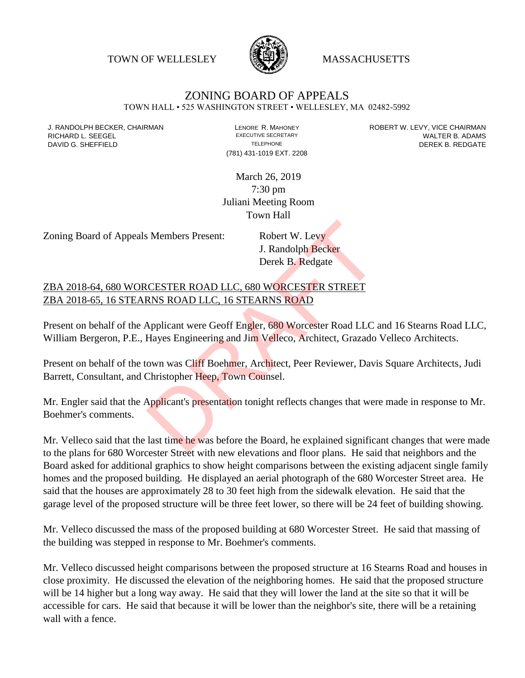TOWN OF WELLESLEY **WASSACHUSETTS** 



## ZONING BOARD OF APPEALS

TOWN HALL • 525 WASHINGTON STREET • WELLESLEY, MA 02482-5992

(781) 431-1019 EXT. 2208

J. RANDOLPH BECKER, CHAIRMAN LAND LENORE R. MAHONEY LENORE RESOLUTIVE SECRETARY LEVY, VICE CHAIRMAN LAND RISPO<br>RICHARD L. SFFGFI LADAMS RICHARD L. SEEGEL **EXECUTIVE SECRETARY CONTROLL SEEGETARY** WALTER B. ADAMS DAVID G. SHEFFIELD **TELEPHONE** TELEPHONE TELEPHONE **TELEPHONE DEREK B. REDGATE** 

> March 26, 2019 7:30 pm Juliani Meeting Room Town Hall

Zoning Board of Appeals Members Present: Robert W. Levy

J. Randolph Becker Derek B. Redgate

ZBA 2018-64, 680 WORCESTER ROAD LLC, 680 WORCESTER STREET ZBA 2018-65, 16 STEARNS ROAD LLC, 16 STEARNS ROAD

Present on behalf of the Applicant were Geoff Engler, 680 Worcester Road LLC and 16 Stearns Road LLC, William Bergeron, P.E., Hayes Engineering and Jim Velleco, Architect, Grazado Velleco Architects. S Members Present:<br>
J. Randolph Becker<br>
Derek B. Redgate<br>
CESTER ROAD LLC, 680 WORCESTER STREET<br>
RNS ROAD LLC, 16 STEARNS ROAD<br>
Applicant were Geoff Engler, 680 Worcester Road LLC<br>
Hayes Engineering and Jim Velleco, Archit

Present on behalf of the town was Cliff Boehmer, Architect, Peer Reviewer, Davis Square Architects, Judi Barrett, Consultant, and Christopher Heep, Town Counsel.

Mr. Engler said that the Applicant's presentation tonight reflects changes that were made in response to Mr. Boehmer's comments.

Mr. Velleco said that the last time he was before the Board, he explained significant changes that were made to the plans for 680 Worcester Street with new elevations and floor plans. He said that neighbors and the Board asked for additional graphics to show height comparisons between the existing adjacent single family homes and the proposed building. He displayed an aerial photograph of the 680 Worcester Street area. He said that the houses are approximately 28 to 30 feet high from the sidewalk elevation. He said that the garage level of the proposed structure will be three feet lower, so there will be 24 feet of building showing.

Mr. Velleco discussed the mass of the proposed building at 680 Worcester Street. He said that massing of the building was stepped in response to Mr. Boehmer's comments.

Mr. Velleco discussed height comparisons between the proposed structure at 16 Stearns Road and houses in close proximity. He discussed the elevation of the neighboring homes. He said that the proposed structure will be 14 higher but a long way away. He said that they will lower the land at the site so that it will be accessible for cars. He said that because it will be lower than the neighbor's site, there will be a retaining wall with a fence.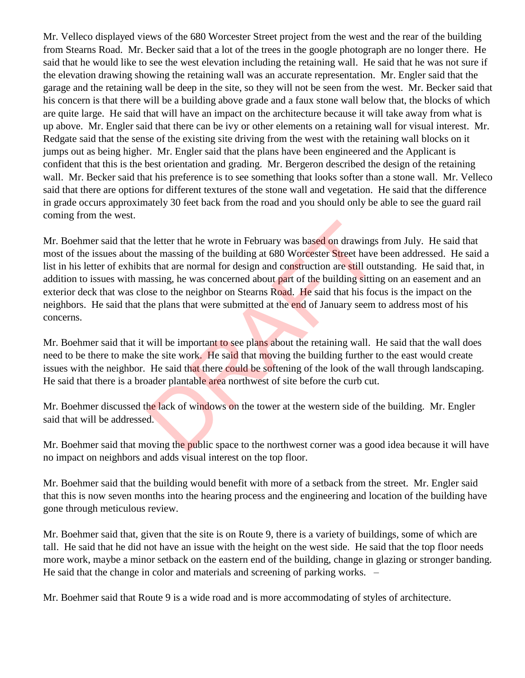Mr. Velleco displayed views of the 680 Worcester Street project from the west and the rear of the building from Stearns Road. Mr. Becker said that a lot of the trees in the google photograph are no longer there. He said that he would like to see the west elevation including the retaining wall. He said that he was not sure if the elevation drawing showing the retaining wall was an accurate representation. Mr. Engler said that the garage and the retaining wall be deep in the site, so they will not be seen from the west. Mr. Becker said that his concern is that there will be a building above grade and a faux stone wall below that, the blocks of which are quite large. He said that will have an impact on the architecture because it will take away from what is up above. Mr. Engler said that there can be ivy or other elements on a retaining wall for visual interest. Mr. Redgate said that the sense of the existing site driving from the west with the retaining wall blocks on it jumps out as being higher. Mr. Engler said that the plans have been engineered and the Applicant is confident that this is the best orientation and grading. Mr. Bergeron described the design of the retaining wall. Mr. Becker said that his preference is to see something that looks softer than a stone wall. Mr. Velleco said that there are options for different textures of the stone wall and vegetation. He said that the difference in grade occurs approximately 30 feet back from the road and you should only be able to see the guard rail coming from the west.

Mr. Boehmer said that the letter that he wrote in February was based on drawings from July. He said that most of the issues about the massing of the building at 680 Worcester Street have been addressed. He said a list in his letter of exhibits that are normal for design and construction are still outstanding. He said that, in addition to issues with massing, he was concerned about part of the building sitting on an easement and an exterior deck that was close to the neighbor on Stearns Road. He said that his focus is the impact on the neighbors. He said that the plans that were submitted at the end of January seem to address most of his concerns. e letter that he wrote in February was based on drawings<br>the massing of the building at 680 Worcester Street have<br>s that are normal for design and construction are still out<br>assing, he was concerned about part of the build

Mr. Boehmer said that it will be important to see plans about the retaining wall. He said that the wall does need to be there to make the site work. He said that moving the building further to the east would create issues with the neighbor. He said that there could be softening of the look of the wall through landscaping. He said that there is a broader plantable area northwest of site before the curb cut.

Mr. Boehmer discussed the lack of windows on the tower at the western side of the building. Mr. Engler said that will be addressed.

Mr. Boehmer said that moving the public space to the northwest corner was a good idea because it will have no impact on neighbors and adds visual interest on the top floor.

Mr. Boehmer said that the building would benefit with more of a setback from the street. Mr. Engler said that this is now seven months into the hearing process and the engineering and location of the building have gone through meticulous review.

Mr. Boehmer said that, given that the site is on Route 9, there is a variety of buildings, some of which are tall. He said that he did not have an issue with the height on the west side. He said that the top floor needs more work, maybe a minor setback on the eastern end of the building, change in glazing or stronger banding. He said that the change in color and materials and screening of parking works. –

Mr. Boehmer said that Route 9 is a wide road and is more accommodating of styles of architecture.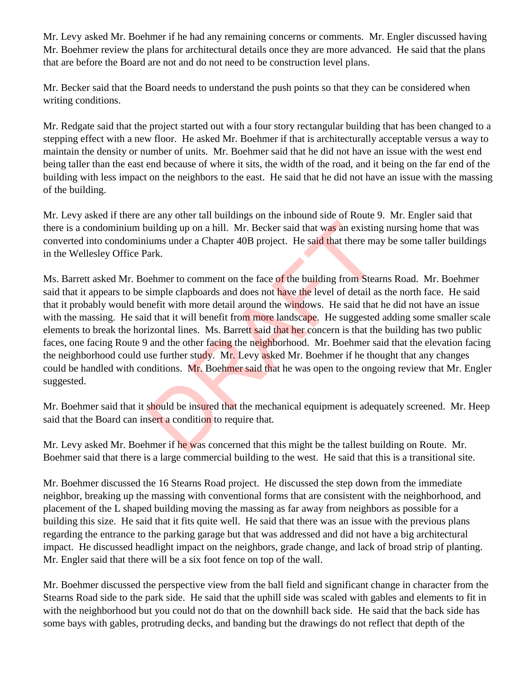Mr. Levy asked Mr. Boehmer if he had any remaining concerns or comments. Mr. Engler discussed having Mr. Boehmer review the plans for architectural details once they are more advanced. He said that the plans that are before the Board are not and do not need to be construction level plans.

Mr. Becker said that the Board needs to understand the push points so that they can be considered when writing conditions.

Mr. Redgate said that the project started out with a four story rectangular building that has been changed to a stepping effect with a new floor. He asked Mr. Boehmer if that is architecturally acceptable versus a way to maintain the density or number of units. Mr. Boehmer said that he did not have an issue with the west end being taller than the east end because of where it sits, the width of the road, and it being on the far end of the building with less impact on the neighbors to the east. He said that he did not have an issue with the massing of the building.

Mr. Levy asked if there are any other tall buildings on the inbound side of Route 9. Mr. Engler said that there is a condominium building up on a hill. Mr. Becker said that was an existing nursing home that was converted into condominiums under a Chapter 40B project. He said that there may be some taller buildings in the Wellesley Office Park.

Ms. Barrett asked Mr. Boehmer to comment on the face of the building from Stearns Road. Mr. Boehmer said that it appears to be simple clapboards and does not have the level of detail as the north face. He said that it probably would benefit with more detail around the windows. He said that he did not have an issue with the massing. He said that it will benefit from more landscape. He suggested adding some smaller scale elements to break the horizontal lines. Ms. Barrett said that her concern is that the building has two public faces, one facing Route 9 and the other facing the neighborhood. Mr. Boehmer said that the elevation facing the neighborhood could use further study. Mr. Levy asked Mr. Boehmer if he thought that any changes could be handled with conditions. Mr. Boehmer said that he was open to the ongoing review that Mr. Engler suggested. building up on a hill. Mr. Becker said that was an existing<br>iums under a Chapter 40B project. He said that there ma<br>ark.<br>behmer to comment on the face of the building from Stea<br>simple clapboards and does not have the level

Mr. Boehmer said that it should be insured that the mechanical equipment is adequately screened. Mr. Heep said that the Board can insert a condition to require that.

Mr. Levy asked Mr. Boehmer if he was concerned that this might be the tallest building on Route. Mr. Boehmer said that there is a large commercial building to the west. He said that this is a transitional site.

Mr. Boehmer discussed the 16 Stearns Road project. He discussed the step down from the immediate neighbor, breaking up the massing with conventional forms that are consistent with the neighborhood, and placement of the L shaped building moving the massing as far away from neighbors as possible for a building this size. He said that it fits quite well. He said that there was an issue with the previous plans regarding the entrance to the parking garage but that was addressed and did not have a big architectural impact. He discussed headlight impact on the neighbors, grade change, and lack of broad strip of planting. Mr. Engler said that there will be a six foot fence on top of the wall.

Mr. Boehmer discussed the perspective view from the ball field and significant change in character from the Stearns Road side to the park side. He said that the uphill side was scaled with gables and elements to fit in with the neighborhood but you could not do that on the downhill back side. He said that the back side has some bays with gables, protruding decks, and banding but the drawings do not reflect that depth of the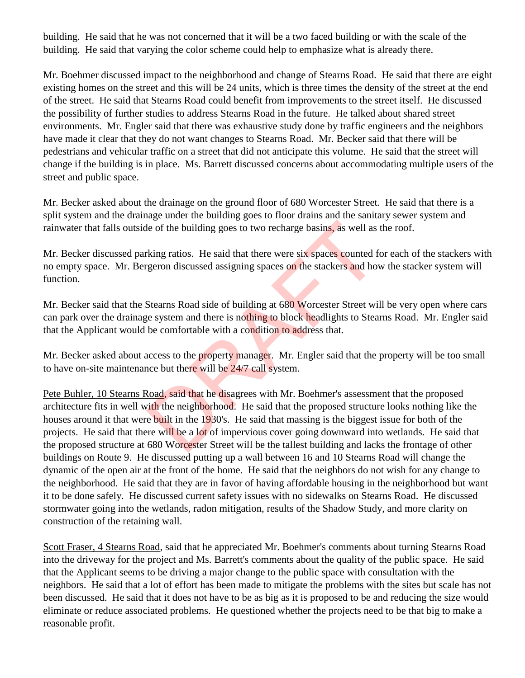building. He said that he was not concerned that it will be a two faced building or with the scale of the building. He said that varying the color scheme could help to emphasize what is already there.

Mr. Boehmer discussed impact to the neighborhood and change of Stearns Road. He said that there are eight existing homes on the street and this will be 24 units, which is three times the density of the street at the end of the street. He said that Stearns Road could benefit from improvements to the street itself. He discussed the possibility of further studies to address Stearns Road in the future. He talked about shared street environments. Mr. Engler said that there was exhaustive study done by traffic engineers and the neighbors have made it clear that they do not want changes to Stearns Road. Mr. Becker said that there will be pedestrians and vehicular traffic on a street that did not anticipate this volume. He said that the street will change if the building is in place. Ms. Barrett discussed concerns about accommodating multiple users of the street and public space.

Mr. Becker asked about the drainage on the ground floor of 680 Worcester Street. He said that there is a split system and the drainage under the building goes to floor drains and the sanitary sewer system and rainwater that falls outside of the building goes to two recharge basins, as well as the roof.

Mr. Becker discussed parking ratios. He said that there were six spaces counted for each of the stackers with no empty space. Mr. Bergeron discussed assigning spaces on the stackers and how the stacker system will function.

Mr. Becker said that the Stearns Road side of building at 680 Worcester Street will be very open where cars can park over the drainage system and there is nothing to block headlights to Stearns Road. Mr. Engler said that the Applicant would be comfortable with a condition to address that.

Mr. Becker asked about access to the property manager. Mr. Engler said that the property will be too small to have on-site maintenance but there will be 24/7 call system.

Pete Buhler, 10 Stearns Road, said that he disagrees with Mr. Boehmer's assessment that the proposed architecture fits in well with the neighborhood. He said that the proposed structure looks nothing like the houses around it that were built in the 1930's. He said that massing is the biggest issue for both of the projects. He said that there will be a lot of impervious cover going downward into wetlands. He said that the proposed structure at 680 Worcester Street will be the tallest building and lacks the frontage of other buildings on Route 9. He discussed putting up a wall between 16 and 10 Stearns Road will change the dynamic of the open air at the front of the home. He said that the neighbors do not wish for any change to the neighborhood. He said that they are in favor of having affordable housing in the neighborhood but want it to be done safely. He discussed current safety issues with no sidewalks on Stearns Road. He discussed stormwater going into the wetlands, radon mitigation, results of the Shadow Study, and more clarity on construction of the retaining wall. le of the building goes to two recharge basins, as well as<br>king ratios. He said that there were six spaces counted f<br>geron discussed assigning spaces on the stackers and ho<br>Stearns Road side of building at 680 Worcester St

Scott Fraser, 4 Stearns Road, said that he appreciated Mr. Boehmer's comments about turning Stearns Road into the driveway for the project and Ms. Barrett's comments about the quality of the public space. He said that the Applicant seems to be driving a major change to the public space with consultation with the neighbors. He said that a lot of effort has been made to mitigate the problems with the sites but scale has not been discussed. He said that it does not have to be as big as it is proposed to be and reducing the size would eliminate or reduce associated problems. He questioned whether the projects need to be that big to make a reasonable profit.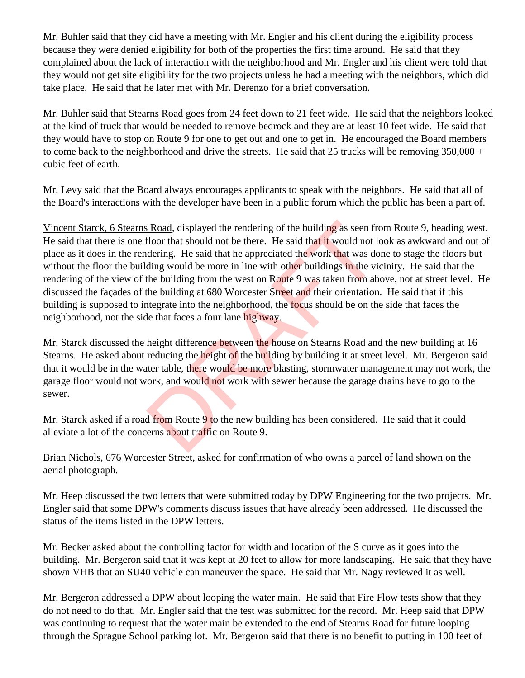Mr. Buhler said that they did have a meeting with Mr. Engler and his client during the eligibility process because they were denied eligibility for both of the properties the first time around. He said that they complained about the lack of interaction with the neighborhood and Mr. Engler and his client were told that they would not get site eligibility for the two projects unless he had a meeting with the neighbors, which did take place. He said that he later met with Mr. Derenzo for a brief conversation.

Mr. Buhler said that Stearns Road goes from 24 feet down to 21 feet wide. He said that the neighbors looked at the kind of truck that would be needed to remove bedrock and they are at least 10 feet wide. He said that they would have to stop on Route 9 for one to get out and one to get in. He encouraged the Board members to come back to the neighborhood and drive the streets. He said that 25 trucks will be removing  $350,000 +$ cubic feet of earth.

Mr. Levy said that the Board always encourages applicants to speak with the neighbors. He said that all of the Board's interactions with the developer have been in a public forum which the public has been a part of.

Vincent Starck, 6 Stearns Road, displayed the rendering of the building as seen from Route 9, heading west. He said that there is one floor that should not be there. He said that it would not look as awkward and out of place as it does in the rendering. He said that he appreciated the work that was done to stage the floors but without the floor the building would be more in line with other buildings in the vicinity. He said that the rendering of the view of the building from the west on Route 9 was taken from above, not at street level. He discussed the façades of the building at 680 Worcester Street and their orientation. He said that if this building is supposed to integrate into the neighborhood, the focus should be on the side that faces the neighborhood, not the side that faces a four lane highway. **Example 16** Should not be the rendering of the building as seen frequention that should not be there. He said that it would not leadering. He said that he appreciated the work that was doting would be more in line with ot

Mr. Starck discussed the height difference between the house on Stearns Road and the new building at 16 Stearns. He asked about reducing the height of the building by building it at street level. Mr. Bergeron said that it would be in the water table, there would be more blasting, stormwater management may not work, the garage floor would not work, and would not work with sewer because the garage drains have to go to the sewer.

Mr. Starck asked if a road from Route 9 to the new building has been considered. He said that it could alleviate a lot of the concerns about traffic on Route 9.

Brian Nichols, 676 Worcester Street, asked for confirmation of who owns a parcel of land shown on the aerial photograph.

Mr. Heep discussed the two letters that were submitted today by DPW Engineering for the two projects. Mr. Engler said that some DPW's comments discuss issues that have already been addressed. He discussed the status of the items listed in the DPW letters.

Mr. Becker asked about the controlling factor for width and location of the S curve as it goes into the building. Mr. Bergeron said that it was kept at 20 feet to allow for more landscaping. He said that they have shown VHB that an SU40 vehicle can maneuver the space. He said that Mr. Nagy reviewed it as well.

Mr. Bergeron addressed a DPW about looping the water main. He said that Fire Flow tests show that they do not need to do that. Mr. Engler said that the test was submitted for the record. Mr. Heep said that DPW was continuing to request that the water main be extended to the end of Stearns Road for future looping through the Sprague School parking lot. Mr. Bergeron said that there is no benefit to putting in 100 feet of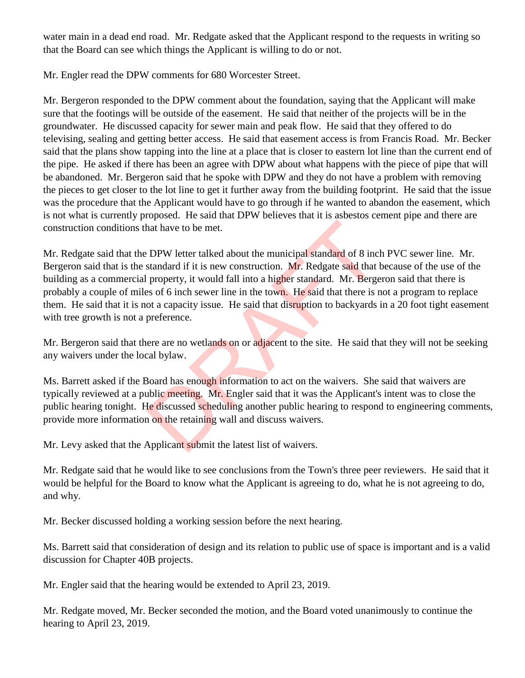water main in a dead end road. Mr. Redgate asked that the Applicant respond to the requests in writing so that the Board can see which things the Applicant is willing to do or not.

Mr. Engler read the DPW comments for 680 Worcester Street.

Mr. Bergeron responded to the DPW comment about the foundation, saying that the Applicant will make sure that the footings will be outside of the easement. He said that neither of the projects will be in the groundwater. He discussed capacity for sewer main and peak flow. He said that they offered to do televising, sealing and getting better access. He said that easement access is from Francis Road. Mr. Becker said that the plans show tapping into the line at a place that is closer to eastern lot line than the current end of the pipe. He asked if there has been an agree with DPW about what happens with the piece of pipe that will be abandoned. Mr. Bergeron said that he spoke with DPW and they do not have a problem with removing the pieces to get closer to the lot line to get it further away from the building footprint. He said that the issue was the procedure that the Applicant would have to go through if he wanted to abandon the easement, which is not what is currently proposed. He said that DPW believes that it is asbestos cement pipe and there are construction conditions that have to be met.

Mr. Redgate said that the DPW letter talked about the municipal standard of 8 inch PVC sewer line. Mr. Bergeron said that is the standard if it is new construction. Mr. Redgate said that because of the use of the building as a commercial property, it would fall into a higher standard. Mr. Bergeron said that there is probably a couple of miles of 6 inch sewer line in the town. He said that there is not a program to replace them. He said that it is not a capacity issue. He said that disruption to backyards in a 20 foot tight easement with tree growth is not a preference. The standard of 8 increases the municipal standard of 8 increases that the municipal standard of 8 increases of 6 inch sewer line in the town. He said that there is 1 ot a capacity issue. He said that disruption to backyar

Mr. Bergeron said that there are no wetlands on or adjacent to the site. He said that they will not be seeking any waivers under the local bylaw.

Ms. Barrett asked if the Board has enough information to act on the waivers. She said that waivers are typically reviewed at a public meeting. Mr. Engler said that it was the Applicant's intent was to close the public hearing tonight. He discussed scheduling another public hearing to respond to engineering comments, provide more information on the retaining wall and discuss waivers.

Mr. Levy asked that the Applicant submit the latest list of waivers.

Mr. Redgate said that he would like to see conclusions from the Town's three peer reviewers. He said that it would be helpful for the Board to know what the Applicant is agreeing to do, what he is not agreeing to do, and why.

Mr. Becker discussed holding a working session before the next hearing.

Ms. Barrett said that consideration of design and its relation to public use of space is important and is a valid discussion for Chapter 40B projects.

Mr. Engler said that the hearing would be extended to April 23, 2019.

Mr. Redgate moved, Mr. Becker seconded the motion, and the Board voted unanimously to continue the hearing to April 23, 2019.